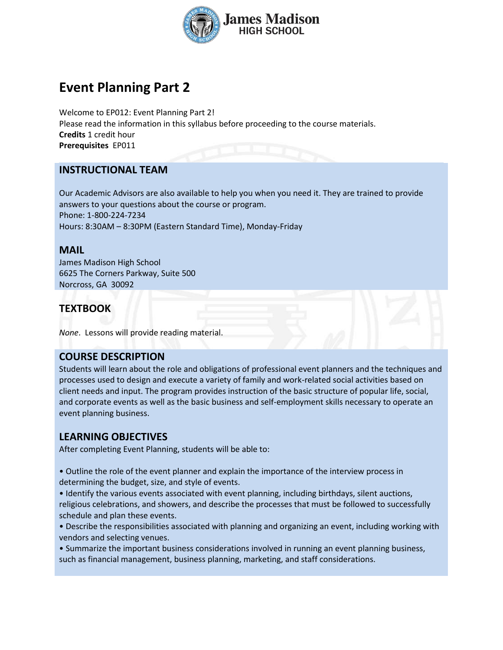

# **Event Planning Part 2**

Welcome to EP012: Event Planning Part 2! Please read the information in this syllabus before proceeding to the course materials. **Credits** 1 credit hour **Prerequisites** EP011

## **INSTRUCTIONAL TEAM**

Our Academic Advisors are also available to help you when you need it. They are trained to provide answers to your questions about the course or program. Phone: 1-800-224-7234 Hours: 8:30AM – 8:30PM (Eastern Standard Time), Monday-Friday

#### **MAIL**

James Madison High School 6625 The Corners Parkway, Suite 500 Norcross, GA 30092

# **TEXTBOOK**

*None*. Lessons will provide reading material.

## **COURSE DESCRIPTION**

Students will learn about the role and obligations of professional event planners and the techniques and processes used to design and execute a variety of family and work-related social activities based on client needs and input. The program provides instruction of the basic structure of popular life, social, and corporate events as well as the basic business and self-employment skills necessary to operate an event planning business.

## **LEARNING OBJECTIVES**

After completing Event Planning, students will be able to:

• Outline the role of the event planner and explain the importance of the interview process in determining the budget, size, and style of events.

• Identify the various events associated with event planning, including birthdays, silent auctions, religious celebrations, and showers, and describe the processes that must be followed to successfully schedule and plan these events.

• Describe the responsibilities associated with planning and organizing an event, including working with vendors and selecting venues.

• Summarize the important business considerations involved in running an event planning business, such as financial management, business planning, marketing, and staff considerations.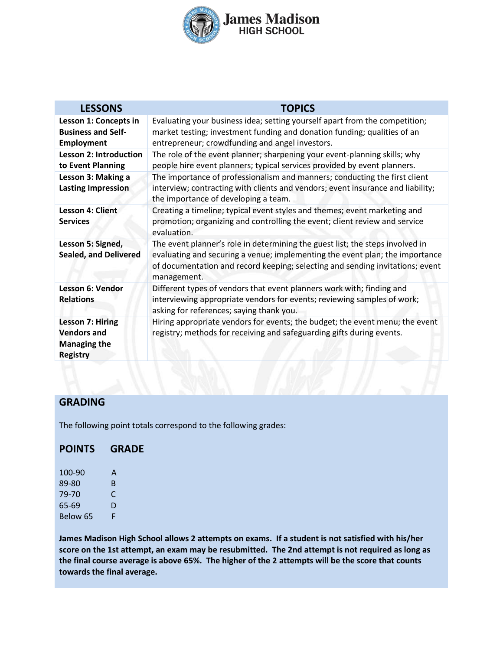

| <b>LESSONS</b>                                                                          | <b>TOPICS</b>                                                                                                                                                                                                                                                 |
|-----------------------------------------------------------------------------------------|---------------------------------------------------------------------------------------------------------------------------------------------------------------------------------------------------------------------------------------------------------------|
| Lesson 1: Concepts in<br><b>Business and Self-</b><br><b>Employment</b>                 | Evaluating your business idea; setting yourself apart from the competition;<br>market testing; investment funding and donation funding; qualities of an<br>entrepreneur; crowdfunding and angel investors.                                                    |
| <b>Lesson 2: Introduction</b><br>to Event Planning                                      | The role of the event planner; sharpening your event-planning skills; why<br>people hire event planners; typical services provided by event planners.                                                                                                         |
| Lesson 3: Making a<br><b>Lasting Impression</b>                                         | The importance of professionalism and manners; conducting the first client<br>interview; contracting with clients and vendors; event insurance and liability;<br>the importance of developing a team.                                                         |
| <b>Lesson 4: Client</b><br><b>Services</b>                                              | Creating a timeline; typical event styles and themes; event marketing and<br>promotion; organizing and controlling the event; client review and service<br>evaluation.                                                                                        |
| Lesson 5: Signed,<br><b>Sealed, and Delivered</b>                                       | The event planner's role in determining the guest list; the steps involved in<br>evaluating and securing a venue; implementing the event plan; the importance<br>of documentation and record keeping; selecting and sending invitations; event<br>management. |
| Lesson 6: Vendor<br><b>Relations</b>                                                    | Different types of vendors that event planners work with; finding and<br>interviewing appropriate vendors for events; reviewing samples of work;<br>asking for references; saying thank you.                                                                  |
| <b>Lesson 7: Hiring</b><br><b>Vendors and</b><br><b>Managing the</b><br><b>Registry</b> | Hiring appropriate vendors for events; the budget; the event menu; the event<br>registry; methods for receiving and safeguarding gifts during events.                                                                                                         |

#### **GRADING**

The following point totals correspond to the following grades:

#### **POINTS GRADE**

| 100-90   | А  |
|----------|----|
| 89-80    | B. |
| 79-70    | C  |
| 65-69    | D  |
| Below 65 | F. |

**James Madison High School allows 2 attempts on exams. If a student is not satisfied with his/her score on the 1st attempt, an exam may be resubmitted. The 2nd attempt is not required as long as the final course average is above 65%. The higher of the 2 attempts will be the score that counts towards the final average.**